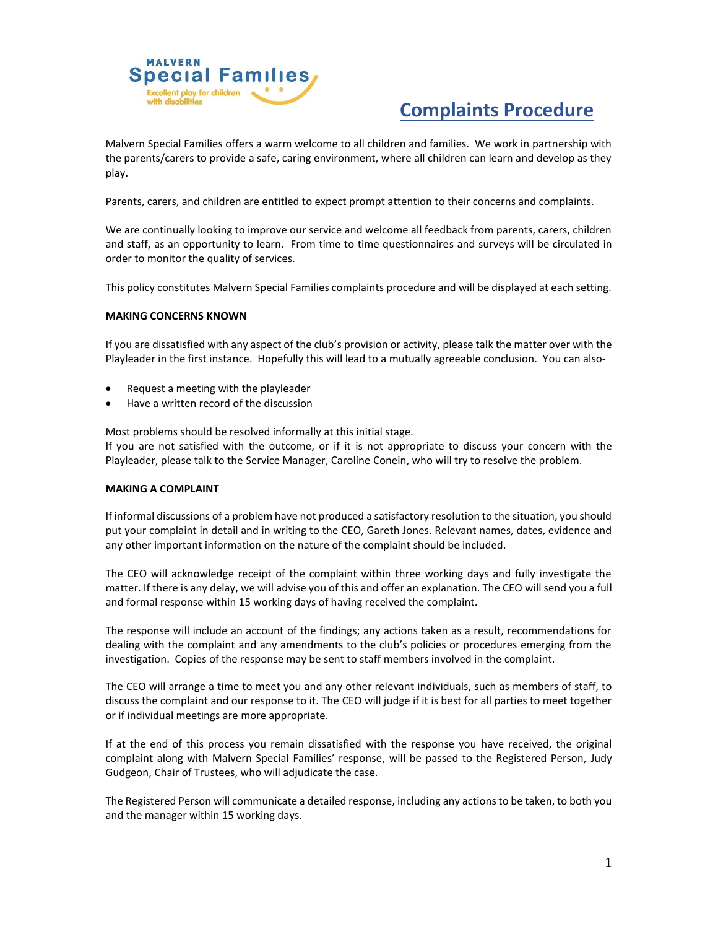

# **Complaints Procedure**

Malvern Special Families offers a warm welcome to all children and families. We work in partnership with the parents/carers to provide a safe, caring environment, where all children can learn and develop as they play.

Parents, carers, and children are entitled to expect prompt attention to their concerns and complaints.

We are continually looking to improve our service and welcome all feedback from parents, carers, children and staff, as an opportunity to learn. From time to time questionnaires and surveys will be circulated in order to monitor the quality of services.

This policy constitutes Malvern Special Families complaints procedure and will be displayed at each setting.

#### **MAKING CONCERNS KNOWN**

If you are dissatisfied with any aspect of the club's provision or activity, please talk the matter over with the Playleader in the first instance. Hopefully this will lead to a mutually agreeable conclusion. You can also-

- Request a meeting with the playleader
- Have a written record of the discussion

Most problems should be resolved informally at this initial stage.

If you are not satisfied with the outcome, or if it is not appropriate to discuss your concern with the Playleader, please talk to the Service Manager, Caroline Conein, who will try to resolve the problem.

#### **MAKING A COMPLAINT**

If informal discussions of a problem have not produced a satisfactory resolution to the situation, you should put your complaint in detail and in writing to the CEO, Gareth Jones. Relevant names, dates, evidence and any other important information on the nature of the complaint should be included.

The CEO will acknowledge receipt of the complaint within three working days and fully investigate the matter. If there is any delay, we will advise you of this and offer an explanation. The CEO will send you a full and formal response within 15 working days of having received the complaint.

The response will include an account of the findings; any actions taken as a result, recommendations for dealing with the complaint and any amendments to the club's policies or procedures emerging from the investigation. Copies of the response may be sent to staff members involved in the complaint.

The CEO will arrange a time to meet you and any other relevant individuals, such as members of staff, to discuss the complaint and our response to it. The CEO will judge if it is best for all parties to meet together or if individual meetings are more appropriate.

If at the end of this process you remain dissatisfied with the response you have received, the original complaint along with Malvern Special Families' response, will be passed to the Registered Person, Judy Gudgeon, Chair of Trustees, who will adjudicate the case.

The Registered Person will communicate a detailed response, including any actions to be taken, to both you and the manager within 15 working days.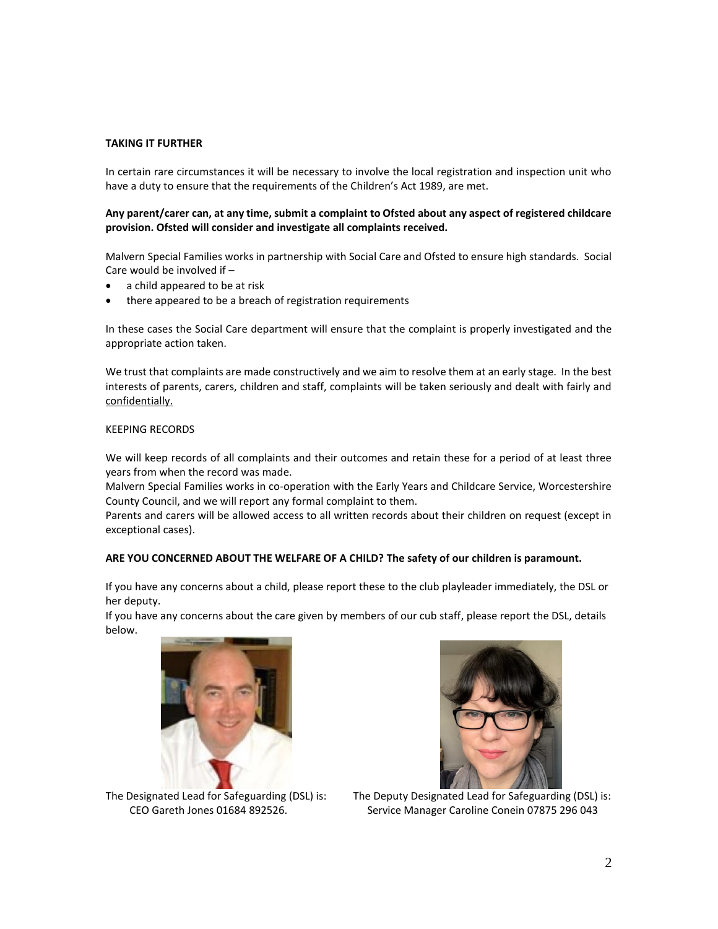#### **TAKING IT FURTHER**

In certain rare circumstances it will be necessary to involve the local registration and inspection unit who have a duty to ensure that the requirements of the Children's Act 1989, are met.

#### **Any parent/carer can, at any time, submit a complaint to Ofsted about any aspect of registered childcare provision. Ofsted will consider and investigate all complaints received.**

Malvern Special Families works in partnership with Social Care and Ofsted to ensure high standards. Social Care would be involved if –

- a child appeared to be at risk
- there appeared to be a breach of registration requirements

In these cases the Social Care department will ensure that the complaint is properly investigated and the appropriate action taken.

We trust that complaints are made constructively and we aim to resolve them at an early stage. In the best interests of parents, carers, children and staff, complaints will be taken seriously and dealt with fairly and confidentially.

# KEEPING RECORDS

We will keep records of all complaints and their outcomes and retain these for a period of at least three years from when the record was made.

Malvern Special Families works in co-operation with the Early Years and Childcare Service, Worcestershire County Council, and we will report any formal complaint to them.

Parents and carers will be allowed access to all written records about their children on request (except in exceptional cases).

### **ARE YOU CONCERNED ABOUT THE WELFARE OF A CHILD? The safety of our children is paramount.**

If you have any concerns about a child, please report these to the club playleader immediately, the DSL or her deputy.

If you have any concerns about the care given by members of our cub staff, please report the DSL, details below.





The Designated Lead for Safeguarding (DSL) is:

The Deputy Designated Lead for Safeguarding (DSL) is: CEO Gareth Jones 01684 892526. Service Manager Caroline Conein 07875 296 043